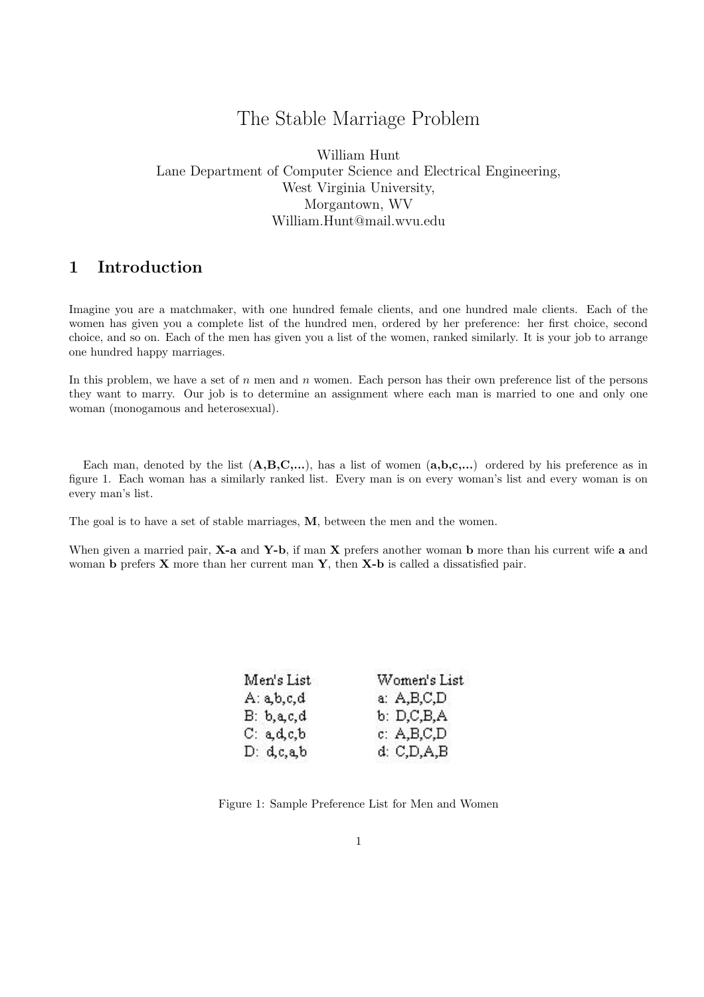# The Stable Marriage Problem

William Hunt Lane Department of Computer Science and Electrical Engineering, West Virginia University, Morgantown, WV William.Hunt@mail.wvu.edu

## 1 Introduction

Imagine you are a matchmaker, with one hundred female clients, and one hundred male clients. Each of the women has given you a complete list of the hundred men, ordered by her preference: her first choice, second choice, and so on. Each of the men has given you a list of the women, ranked similarly. It is your job to arrange one hundred happy marriages.

In this problem, we have a set of  $n$  men and  $n$  women. Each person has their own preference list of the persons they want to marry. Our job is to determine an assignment where each man is married to one and only one woman (monogamous and heterosexual).

Each man, denoted by the list  $(A,B,C,...)$ , has a list of women  $(a,b,c,...)$  ordered by his preference as in figure 1. Each woman has a similarly ranked list. Every man is on every woman's list and every woman is on every man's list.

The goal is to have a set of stable marriages, M, between the men and the women.

When given a married pair,  $X$ -a and  $Y$ -b, if man  $X$  prefers another woman b more than his current wife a and woman **b** prefers **X** more than her current man **Y**, then **X-b** is called a dissatisfied pair.

| Men's List    | Women's List  |
|---------------|---------------|
| A: a, b, c, d | a: A, B, C, D |
| B: b, a, c, d | b: D, C, B, A |
| C: a.d.c.b.   | c: A, B, C, D |
| D: d, c, a, b | d: C, D, A, B |

Figure 1: Sample Preference List for Men and Women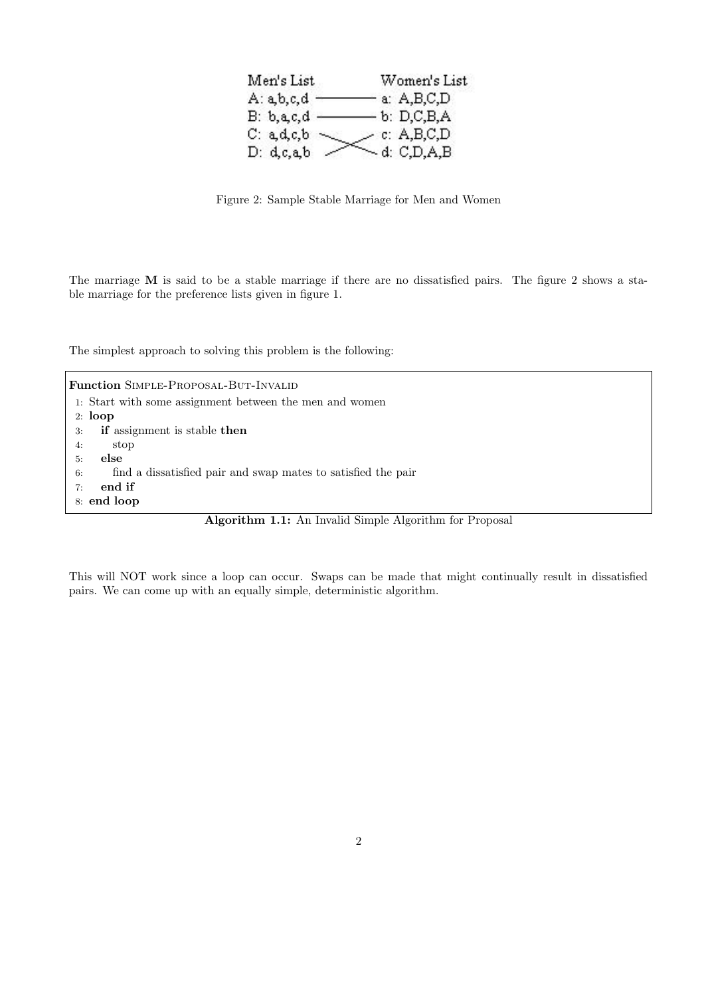| Men's List        | Women's List      |
|-------------------|-------------------|
| A: a, b, c, d     | a: A,B,C,D        |
| $B: b, a, c, d$ . | $-b: D.C.B.A$     |
| C: a, d, c, b     | c: A, B, C, D     |
| D: d, c, a, b     | $\sim$ d: C,D,A,B |

Figure 2: Sample Stable Marriage for Men and Women

The marriage M is said to be a stable marriage if there are no dissatisfied pairs. The figure 2 shows a stable marriage for the preference lists given in figure 1.

The simplest approach to solving this problem is the following:

Function SIMPLE-PROPOSAL-BUT-INVALID 1: Start with some assignment between the men and women 2: loop 3: if assignment is stable then 4: stop 5: else 6: find a dissatisfied pair and swap mates to satisfied the pair 7: end if 8: end loop

Algorithm 1.1: An Invalid Simple Algorithm for Proposal

This will NOT work since a loop can occur. Swaps can be made that might continually result in dissatisfied pairs. We can come up with an equally simple, deterministic algorithm.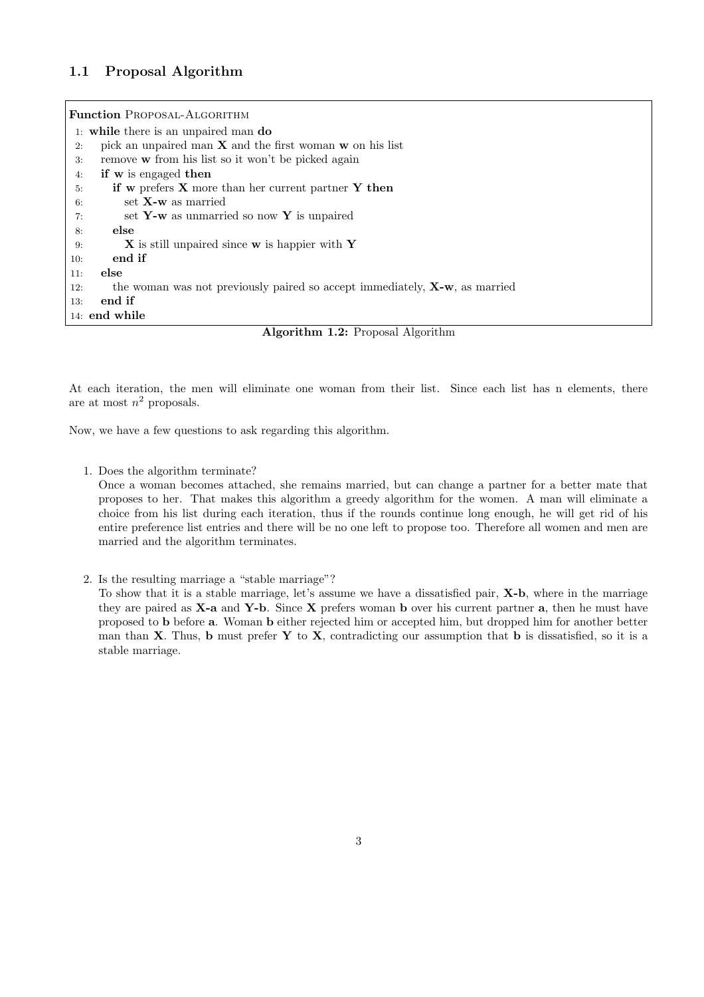## 1.1 Proposal Algorithm

| <b>Function PROPOSAL-ALGORITHM</b>                                                            |
|-----------------------------------------------------------------------------------------------|
| 1: while there is an unpaired man do                                                          |
| pick an unpaired man $X$ and the first woman $w$ on his list<br>2:                            |
| remove w from his list so it won't be picked again<br>3:                                      |
| if w is engaged then<br>4:                                                                    |
| if w prefers $X$ more than her current partner $Y$ then<br>5:                                 |
| set $X-w$ as married<br>6:                                                                    |
| set $Y-w$ as unmarried so now Y is unpaired<br>7:                                             |
| else<br>8:                                                                                    |
| <b>X</b> is still unpaired since <b>w</b> is happier with <b>Y</b><br>9:                      |
| end if<br>10:                                                                                 |
| else<br>11:                                                                                   |
| the woman was not previously paired so accept immediately, $\mathbf{X}$ -w, as married<br>12: |
| end if<br>13:                                                                                 |
| 14: end while                                                                                 |



At each iteration, the men will eliminate one woman from their list. Since each list has n elements, there are at most  $n^2$  proposals.

Now, we have a few questions to ask regarding this algorithm.

1. Does the algorithm terminate?

Once a woman becomes attached, she remains married, but can change a partner for a better mate that proposes to her. That makes this algorithm a greedy algorithm for the women. A man will eliminate a choice from his list during each iteration, thus if the rounds continue long enough, he will get rid of his entire preference list entries and there will be no one left to propose too. Therefore all women and men are married and the algorithm terminates.

2. Is the resulting marriage a "stable marriage"?

To show that it is a stable marriage, let's assume we have a dissatisfied pair, X-b, where in the marriage they are paired as  $X$ -a and  $Y$ -b. Since  $X$  prefers woman b over his current partner a, then he must have proposed to b before a. Woman b either rejected him or accepted him, but dropped him for another better man than  $X$ . Thus, b must prefer  $Y$  to  $X$ , contradicting our assumption that b is dissatisfied, so it is a stable marriage.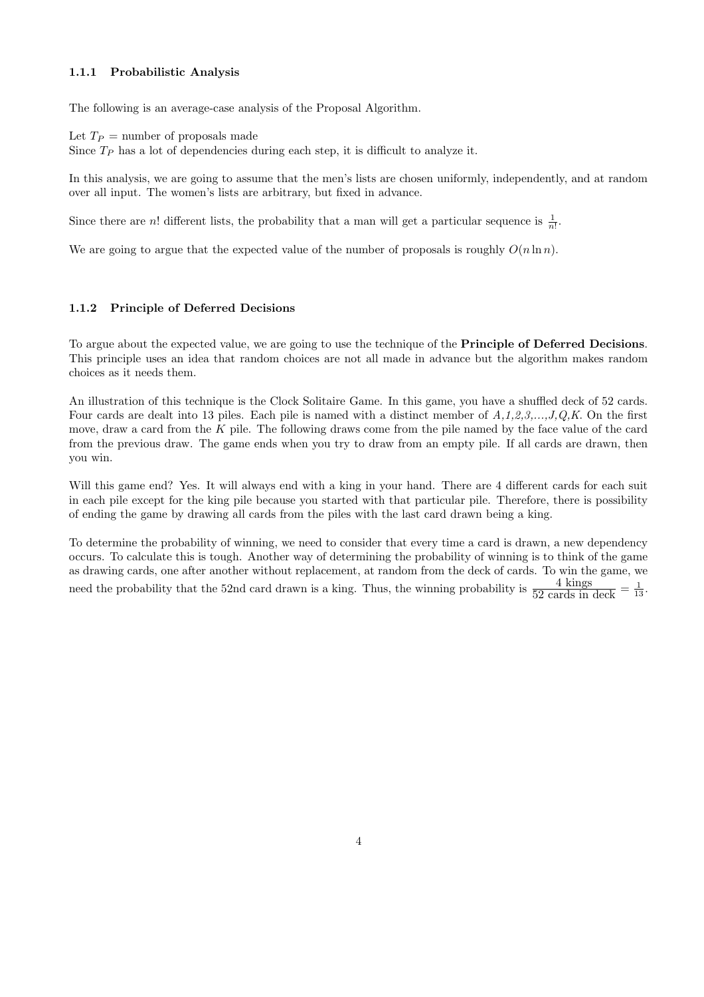## 1.1.1 Probabilistic Analysis

The following is an average-case analysis of the Proposal Algorithm.

Let  $T_P$  = number of proposals made

Since  $T_P$  has a lot of dependencies during each step, it is difficult to analyze it.

In this analysis, we are going to assume that the men's lists are chosen uniformly, independently, and at random over all input. The women's lists are arbitrary, but fixed in advance.

Since there are *n*! different lists, the probability that a man will get a particular sequence is  $\frac{1}{n!}$ .

We are going to argue that the expected value of the number of proposals is roughly  $O(n \ln n)$ .

## 1.1.2 Principle of Deferred Decisions

To argue about the expected value, we are going to use the technique of the Principle of Deferred Decisions. This principle uses an idea that random choices are not all made in advance but the algorithm makes random choices as it needs them.

An illustration of this technique is the Clock Solitaire Game. In this game, you have a shuffled deck of 52 cards. Four cards are dealt into 13 piles. Each pile is named with a distinct member of  $A,1,2,3,\ldots,J,Q,K$ . On the first move, draw a card from the  $K$  pile. The following draws come from the pile named by the face value of the card from the previous draw. The game ends when you try to draw from an empty pile. If all cards are drawn, then you win.

Will this game end? Yes. It will always end with a king in your hand. There are 4 different cards for each suit in each pile except for the king pile because you started with that particular pile. Therefore, there is possibility of ending the game by drawing all cards from the piles with the last card drawn being a king.

To determine the probability of winning, we need to consider that every time a card is drawn, a new dependency occurs. To calculate this is tough. Another way of determining the probability of winning is to think of the game as drawing cards, one after another without replacement, at random from the deck of cards. To win the game, we need the probability that the 52nd card drawn is a king. Thus, the winning probability is  $\frac{4 \text{ kings}}{52 \text{ cards in deck}} = \frac{1}{13}$ .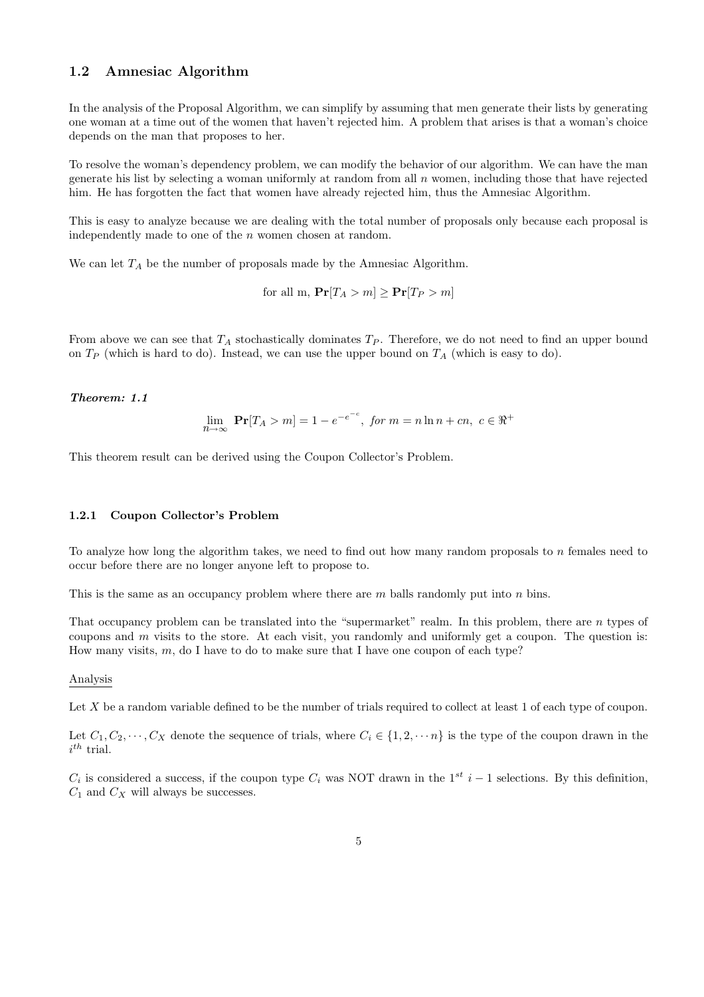## 1.2 Amnesiac Algorithm

In the analysis of the Proposal Algorithm, we can simplify by assuming that men generate their lists by generating one woman at a time out of the women that haven't rejected him. A problem that arises is that a woman's choice depends on the man that proposes to her.

To resolve the woman's dependency problem, we can modify the behavior of our algorithm. We can have the man generate his list by selecting a woman uniformly at random from all n women, including those that have rejected him. He has forgotten the fact that women have already rejected him, thus the Amnesiac Algorithm.

This is easy to analyze because we are dealing with the total number of proposals only because each proposal is independently made to one of the n women chosen at random.

We can let  $T_A$  be the number of proposals made by the Amnesiac Algorithm.

for all m,  $Pr[T_A > m] \ge Pr[T_P > m]$ 

From above we can see that  $T_A$  stochastically dominates  $T_P$ . Therefore, we do not need to find an upper bound on  $T_P$  (which is hard to do). Instead, we can use the upper bound on  $T_A$  (which is easy to do).

### Theorem: 1.1

$$
\lim_{n \to \infty} \Pr[T_A > m] = 1 - e^{-e^{-c}}, \text{ for } m = n \ln n + cn, \ c \in \Re^+
$$

This theorem result can be derived using the Coupon Collector's Problem.

#### 1.2.1 Coupon Collector's Problem

To analyze how long the algorithm takes, we need to find out how many random proposals to n females need to occur before there are no longer anyone left to propose to.

This is the same as an occupancy problem where there are  $m$  balls randomly put into  $n$  bins.

That occupancy problem can be translated into the "supermarket" realm. In this problem, there are n types of coupons and  $m$  visits to the store. At each visit, you randomly and uniformly get a coupon. The question is: How many visits,  $m$ , do I have to do to make sure that I have one coupon of each type?

#### Analysis

Let X be a random variable defined to be the number of trials required to collect at least 1 of each type of coupon.

Let  $C_1, C_2, \dots, C_X$  denote the sequence of trials, where  $C_i \in \{1, 2, \dots n\}$  is the type of the coupon drawn in the  $i^{th}$  trial.

 $C_i$  is considered a success, if the coupon type  $C_i$  was NOT drawn in the 1<sup>st</sup> i – 1 selections. By this definition,  $C_1$  and  $C_X$  will always be successes.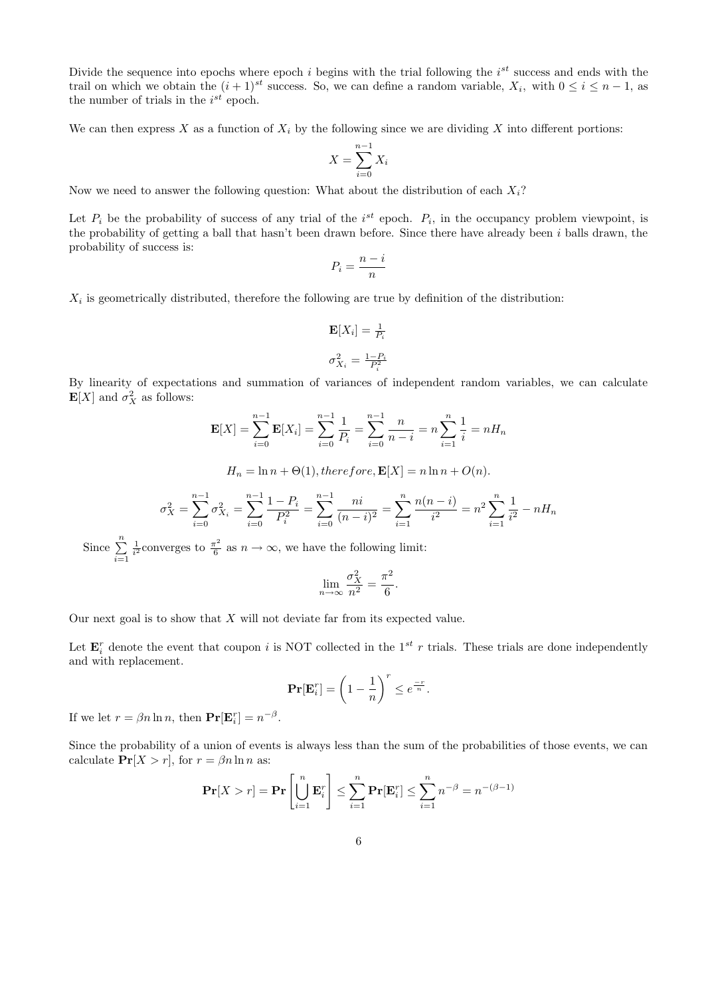Divide the sequence into epochs where epoch i begins with the trial following the  $i^{st}$  success and ends with the trail on which we obtain the  $(i + 1)^{st}$  success. So, we can define a random variable,  $X_i$ , with  $0 \le i \le n - 1$ , as the number of trials in the  $i^{st}$  epoch.

We can then express X as a function of  $X_i$  by the following since we are dividing X into different portions:

$$
X = \sum_{i=0}^{n-1} X_i
$$

Now we need to answer the following question: What about the distribution of each  $X_i$ ?

Let  $P_i$  be the probability of success of any trial of the  $i^{st}$  epoch.  $P_i$ , in the occupancy problem viewpoint, is the probability of getting a ball that hasn't been drawn before. Since there have already been  $i$  balls drawn, the probability of success is:

$$
P_i = \frac{n-i}{n}
$$

 $X_i$  is geometrically distributed, therefore the following are true by definition of the distribution:

$$
\mathbf{E}[X_i] = \frac{1}{P_i}
$$

$$
\sigma_{X_i}^2 = \frac{1 - P_i}{P_i^2}
$$

By linearity of expectations and summation of variances of independent random variables, we can calculate  $\mathbf{E}[X]$  and  $\sigma_X^2$  as follows:

$$
\mathbf{E}[X] = \sum_{i=0}^{n-1} \mathbf{E}[X_i] = \sum_{i=0}^{n-1} \frac{1}{P_i} = \sum_{i=0}^{n-1} \frac{n}{n-i} = n \sum_{i=1}^{n} \frac{1}{i} = n H_n
$$

$$
H_n = \ln n + \Theta(1), therefore, \mathbf{E}[X] = n \ln n + O(n).
$$

$$
\sigma_X^2 = \sum_{i=0}^{n-1} \sigma_{X_i}^2 = \sum_{i=0}^{n-1} \frac{1 - P_i}{P_i^2} = \sum_{i=0}^{n-1} \frac{ni}{(n-i)^2} = \sum_{i=1}^{n} \frac{n(n-i)}{i^2} = n^2 \sum_{i=1}^{n} \frac{1}{i^2} - nH_n
$$

Since  $\sum_{n=1}^{\infty}$  $i=1$  $\frac{1}{i^2}$ converges to  $\frac{\pi^2}{6}$  $\frac{\pi^2}{6}$  as  $n \to \infty$ , we have the following limit:

$$
\lim_{n \to \infty} \frac{\sigma_X^2}{n^2} = \frac{\pi^2}{6}.
$$

Our next goal is to show that  $X$  will not deviate far from its expected value.

Let  $\mathbf{E}_i^r$  denote the event that coupon i is NOT collected in the 1<sup>st</sup> r trials. These trials are done independently and with replacement.

$$
\mathbf{Pr}[\mathbf{E}_i^r] = \left(1 - \frac{1}{n}\right)^r \le e^{\frac{-r}{n}}.
$$

If we let  $r = \beta n \ln n$ , then  $\mathbf{Pr}[\mathbf{E}_i^r] = n^{-\beta}$ .

Since the probability of a union of events is always less than the sum of the probabilities of those events, we can calculate  $Pr[X > r]$ , for  $r = \beta n \ln n$  as:

$$
\mathbf{Pr}[X > r] = \mathbf{Pr}\left[\bigcup_{i=1}^{n} \mathbf{E}_{i}^{r}\right] \leq \sum_{i=1}^{n} \mathbf{Pr}[\mathbf{E}_{i}^{r}] \leq \sum_{i=1}^{n} n^{-\beta} = n^{-(\beta - 1)}
$$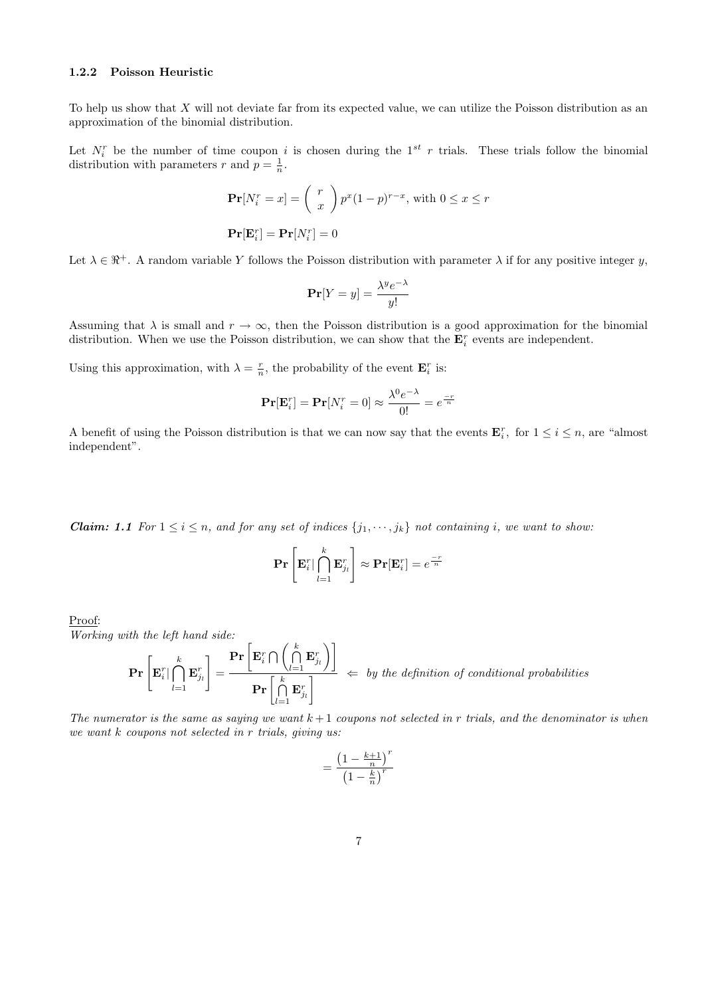## 1.2.2 Poisson Heuristic

To help us show that  $X$  will not deviate far from its expected value, we can utilize the Poisson distribution as an approximation of the binomial distribution.

Let  $N_i^r$  be the number of time coupon *i* is chosen during the 1<sup>st</sup> r trials. These trials follow the binomial distribution with parameters r and  $p = \frac{1}{n}$ .

$$
\mathbf{Pr}[N_i^r = x] = {r \choose x} p^x (1-p)^{r-x}, \text{ with } 0 \le x \le r
$$

$$
\mathbf{Pr}[\mathbf{E}_i^r] = \mathbf{Pr}[N_i^r] = 0
$$

Let  $\lambda \in \mathbb{R}^+$ . A random variable Y follows the Poisson distribution with parameter  $\lambda$  if for any positive integer y,

$$
\mathbf{Pr}[Y = y] = \frac{\lambda^y e^{-\lambda}}{y!}
$$

Assuming that  $\lambda$  is small and  $r \to \infty$ , then the Poisson distribution is a good approximation for the binomial distribution. When we use the Poisson distribution, we can show that the  $\mathbf{E}_i^r$  events are independent.

Using this approximation, with  $\lambda = \frac{r}{n}$ , the probability of the event  $\mathbf{E}_i^r$  is:

$$
\mathbf{Pr}[\mathbf{E}_i^r] = \mathbf{Pr}[N_i^r = 0] \approx \frac{\lambda^0 e^{-\lambda}}{0!} = e^{\frac{-r}{n}}
$$

A benefit of using the Poisson distribution is that we can now say that the events  $\mathbf{E}_i^r$ , for  $1 \le i \le n$ , are "almost" independent".

**Claim:** 1.1 For  $1 \leq i \leq n$ , and for any set of indices  $\{j_1, \dots, j_k\}$  not containing i, we want to show:

$$
\mathbf{Pr}\left[\mathbf{E}_i^r \mid \bigcap_{l=1}^k \mathbf{E}_{j_l}^r\right] \approx \mathbf{Pr}[\mathbf{E}_i^r] = e^{\frac{-r}{n}}
$$

Proof:

Working with the left hand side:

$$
\mathbf{Pr}\left[\mathbf{E}_i^r \vert \bigcap_{l=1}^k \mathbf{E}_{j_l}^r\right] = \frac{\mathbf{Pr}\left[\mathbf{E}_i^r \bigcap \left(\bigcap_{l=1}^k \mathbf{E}_{j_l}^r\right)\right]}{\mathbf{Pr}\left[\bigcap_{l=1}^k \mathbf{E}_{j_l}^r\right]} \iff \textit{by the definition of conditional probabilities}
$$

The numerator is the same as saying we want  $k+1$  coupons not selected in r trials, and the denominator is when we want k coupons not selected in r trials, giving us:

$$
=\frac{\left(1-\frac{k+1}{n}\right)^r}{\left(1-\frac{k}{n}\right)^r}
$$